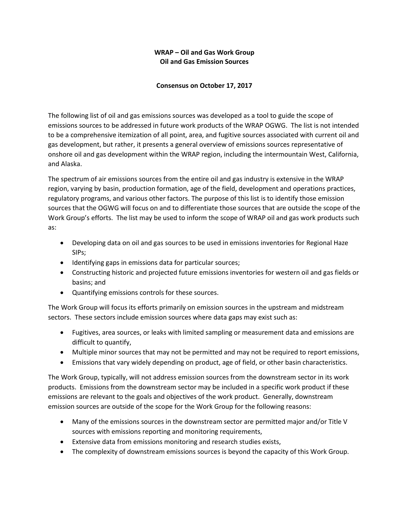# **WRAP – Oil and Gas Work Group Oil and Gas Emission Sources**

## **Consensus on October 17, 2017**

The following list of oil and gas emissions sources was developed as a tool to guide the scope of emissions sources to be addressed in future work products of the WRAP OGWG. The list is not intended to be a comprehensive itemization of all point, area, and fugitive sources associated with current oil and gas development, but rather, it presents a general overview of emissions sources representative of onshore oil and gas development within the WRAP region, including the intermountain West, California, and Alaska.

The spectrum of air emissions sources from the entire oil and gas industry is extensive in the WRAP region, varying by basin, production formation, age of the field, development and operations practices, regulatory programs, and various other factors. The purpose of this list is to identify those emission sources that the OGWG will focus on and to differentiate those sources that are outside the scope of the Work Group's efforts. The list may be used to inform the scope of WRAP oil and gas work products such as:

- Developing data on oil and gas sources to be used in emissions inventories for Regional Haze SIPs;
- Identifying gaps in emissions data for particular sources;
- Constructing historic and projected future emissions inventories for western oil and gas fields or basins; and
- Quantifying emissions controls for these sources.

The Work Group will focus its efforts primarily on emission sources in the upstream and midstream sectors. These sectors include emission sources where data gaps may exist such as:

- Fugitives, area sources, or leaks with limited sampling or measurement data and emissions are difficult to quantify,
- Multiple minor sources that may not be permitted and may not be required to report emissions,
- Emissions that vary widely depending on product, age of field, or other basin characteristics.

The Work Group, typically, will not address emission sources from the downstream sector in its work products. Emissions from the downstream sector may be included in a specific work product if these emissions are relevant to the goals and objectives of the work product. Generally, downstream emission sources are outside of the scope for the Work Group for the following reasons:

- Many of the emissions sources in the downstream sector are permitted major and/or Title V sources with emissions reporting and monitoring requirements,
- Extensive data from emissions monitoring and research studies exists,
- The complexity of downstream emissions sources is beyond the capacity of this Work Group.